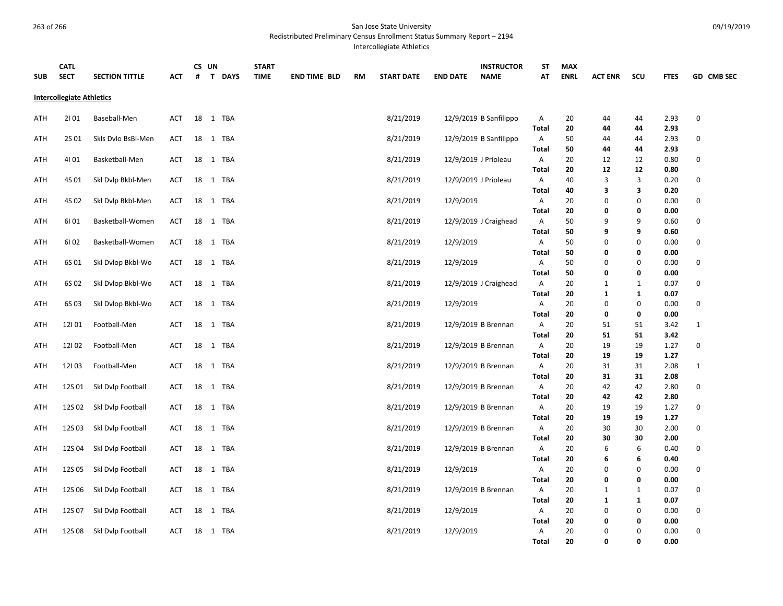Redistributed Preliminary Census Enrollment Status Summary Report – 2194

Intercollegiate Athletics

| <b>SUB</b>                       | <b>CATL</b><br><b>SECT</b> | <b>SECTION TITTLE</b> | АСТ        | #  | CS UN<br>T DAYS | <b>START</b><br><b>TIME</b> | <b>END TIME BLD</b> | <b>RM</b> | <b>START DATE</b> | <b>END DATE</b> | <b>INSTRUCTOR</b><br><b>NAME</b> | ST<br>АΤ          | <b>MAX</b><br><b>ENRL</b> | <b>ACT ENR</b> | SCU          | <b>FTES</b>  | GD CMB SEC   |
|----------------------------------|----------------------------|-----------------------|------------|----|-----------------|-----------------------------|---------------------|-----------|-------------------|-----------------|----------------------------------|-------------------|---------------------------|----------------|--------------|--------------|--------------|
| <b>Intercollegiate Athletics</b> |                            |                       |            |    |                 |                             |                     |           |                   |                 |                                  |                   |                           |                |              |              |              |
| ATH                              | 2101                       | Baseball-Men          | ACT        |    | 18 1 TBA        |                             |                     |           | 8/21/2019         |                 | 12/9/2019 B Sanfilippo           | Α                 | 20                        | 44             | 44           | 2.93         | $\pmb{0}$    |
|                                  |                            |                       |            |    |                 |                             |                     |           |                   |                 |                                  | <b>Total</b>      | 20                        | 44             | 44           | 2.93         |              |
| ATH                              | 2S 01                      | Skls Dvlo BsBl-Men    | ACT        |    | 18 1 TBA        |                             |                     |           | 8/21/2019         |                 | 12/9/2019 B Sanfilippo           | Α                 | 50                        | 44             | 44           | 2.93         | $\pmb{0}$    |
|                                  |                            |                       |            |    |                 |                             |                     |           |                   |                 |                                  | <b>Total</b>      | 50                        | 44             | 44           | 2.93         |              |
| ATH                              | 4101                       | Basketball-Men        | <b>ACT</b> |    | 18 1 TBA        |                             |                     |           | 8/21/2019         |                 | 12/9/2019 J Prioleau             | А                 | 20                        | 12             | 12           | 0.80         | 0            |
|                                  |                            |                       |            |    |                 |                             |                     |           |                   |                 |                                  | <b>Total</b>      | 20                        | 12             | 12           | 0.80         |              |
| ATH                              | 4S 01                      | Skl Dvlp Bkbl-Men     | ACT        | 18 | 1 TBA           |                             |                     |           | 8/21/2019         |                 | 12/9/2019 J Prioleau             | Α                 | 40                        | 3              | 3            | 0.20         | 0            |
|                                  |                            |                       |            |    |                 |                             |                     |           |                   |                 |                                  | <b>Total</b>      | 40                        | 3              | з            | 0.20         |              |
| ATH                              | 4S 02                      | Ski Dvip Bkbl-Men     | ACT        | 18 | 1 TBA           |                             |                     |           | 8/21/2019         | 12/9/2019       |                                  | Α                 | 20                        | 0              | 0            | 0.00         | $\mathbf 0$  |
|                                  |                            |                       |            |    |                 |                             |                     |           |                   |                 |                                  | <b>Total</b>      | 20                        | 0              | 0            | 0.00         |              |
| ATH                              | 6101                       | Basketball-Women      | ACT        |    | 18 1 TBA        |                             |                     |           | 8/21/2019         |                 | 12/9/2019 J Craighead            | А                 | 50                        | 9              | 9            | 0.60         | 0            |
|                                  |                            |                       | <b>ACT</b> |    |                 |                             |                     |           |                   |                 |                                  | <b>Total</b>      | 50                        | 9<br>0         | 9<br>0       | 0.60         | $\pmb{0}$    |
| ATH                              | 61 02                      | Basketball-Women      |            |    | 18 1 TBA        |                             |                     |           | 8/21/2019         | 12/9/2019       |                                  | А<br><b>Total</b> | 50<br>50                  | 0              | 0            | 0.00         |              |
| ATH                              | 6S 01                      |                       | ACT        |    | 18 1 TBA        |                             |                     |           |                   |                 |                                  |                   | 50                        | $\mathbf 0$    | 0            | 0.00<br>0.00 | $\pmb{0}$    |
|                                  |                            | Skl Dvlop Bkbl-Wo     |            |    |                 |                             |                     |           | 8/21/2019         | 12/9/2019       |                                  | А<br><b>Total</b> | 50                        | 0              | 0            | 0.00         |              |
| ATH                              | 6S 02                      | Ski Dvlop Bkbl-Wo     | ACT        |    | 18 1 TBA        |                             |                     |           | 8/21/2019         |                 | 12/9/2019 J Craighead            | А                 | 20                        | 1              | $\mathbf{1}$ | 0.07         | 0            |
|                                  |                            |                       |            |    |                 |                             |                     |           |                   |                 |                                  | <b>Total</b>      | 20                        | 1              | 1            | 0.07         |              |
| ATH                              | 6S03                       | Skl Dvlop Bkbl-Wo     | ACT        |    | 18 1 TBA        |                             |                     |           | 8/21/2019         | 12/9/2019       |                                  | Α                 | 20                        | 0              | 0            | 0.00         | 0            |
|                                  |                            |                       |            |    |                 |                             |                     |           |                   |                 |                                  | <b>Total</b>      | 20                        | 0              | 0            | 0.00         |              |
| ATH                              | 12101                      | Football-Men          | ACT        |    | 18 1 TBA        |                             |                     |           | 8/21/2019         |                 | 12/9/2019 B Brennan              | Α                 | 20                        | 51             | 51           | 3.42         | $\mathbf{1}$ |
|                                  |                            |                       |            |    |                 |                             |                     |           |                   |                 |                                  | <b>Total</b>      | 20                        | 51             | 51           | 3.42         |              |
| ATH                              | 12102                      | Football-Men          | ACT        | 18 | 1 TBA           |                             |                     |           | 8/21/2019         |                 | 12/9/2019 B Brennan              | Α                 | 20                        | 19             | 19           | 1.27         | 0            |
|                                  |                            |                       |            |    |                 |                             |                     |           |                   |                 |                                  | <b>Total</b>      | 20                        | 19             | 19           | 1.27         |              |
| ATH                              | 12103                      | Football-Men          | <b>ACT</b> |    | 18 1 TBA        |                             |                     |           | 8/21/2019         |                 | 12/9/2019 B Brennan              | А                 | 20                        | 31             | 31           | 2.08         | $\mathbf{1}$ |
|                                  |                            |                       |            |    |                 |                             |                     |           |                   |                 |                                  | <b>Total</b>      | 20                        | 31             | 31           | 2.08         |              |
| ATH                              | 12S 01                     | Skl Dvlp Football     | ACT        |    | 18 1 TBA        |                             |                     |           | 8/21/2019         |                 | 12/9/2019 B Brennan              | А                 | 20                        | 42             | 42           | 2.80         | 0            |
|                                  |                            |                       |            |    |                 |                             |                     |           |                   |                 |                                  | <b>Total</b>      | 20                        | 42             | 42           | 2.80         |              |
| ATH                              | 12S 02                     | Skl Dvlp Football     | ACT        |    | 18 1 TBA        |                             |                     |           | 8/21/2019         |                 | 12/9/2019 B Brennan              | Α                 | 20                        | 19             | 19           | 1.27         | $\mathbf 0$  |
|                                  |                            |                       |            |    |                 |                             |                     |           |                   |                 |                                  | <b>Total</b>      | 20                        | 19             | 19           | 1.27         |              |
| ATH                              | 12S03                      | Skl Dvlp Football     | ACT        |    | 18 1 TBA        |                             |                     |           | 8/21/2019         |                 | 12/9/2019 B Brennan              | Α                 | 20                        | 30             | 30           | 2.00         | $\mathbf 0$  |
|                                  |                            |                       |            |    |                 |                             |                     |           |                   |                 |                                  | <b>Total</b>      | 20                        | 30             | 30           | 2.00         |              |
| ATH                              | 12S04                      | Skl Dvlp Football     | ACT        | 18 | 1 TBA           |                             |                     |           | 8/21/2019         |                 | 12/9/2019 B Brennan              | А                 | 20                        | 6              | 6            | 0.40         | 0            |
|                                  |                            |                       |            |    |                 |                             |                     |           |                   |                 |                                  | <b>Total</b>      | 20                        | 6              | 6            | 0.40         |              |
| ATH                              | 12S 05                     | Skl Dvlp Football     | ACT        |    | 18 1 TBA        |                             |                     |           | 8/21/2019         | 12/9/2019       |                                  | А                 | 20                        | 0              | 0            | 0.00         | $\mathbf 0$  |
|                                  |                            |                       |            |    |                 |                             |                     |           |                   |                 |                                  | <b>Total</b>      | 20                        | 0              | 0            | 0.00         |              |
| ATH                              | 12S 06                     | Skl Dvlp Football     | ACT        |    | 18 1 TBA        |                             |                     |           | 8/21/2019         |                 | 12/9/2019 B Brennan              | А                 | 20                        | 1              | 1            | 0.07         | 0            |
|                                  |                            |                       |            |    |                 |                             |                     |           |                   |                 |                                  | <b>Total</b>      | 20                        | $\mathbf{1}$   | $\mathbf 1$  | 0.07         |              |
| ATH                              | 12S 07                     | Skl Dvlp Football     | ACT        |    | 18 1 TBA        |                             |                     |           | 8/21/2019         | 12/9/2019       |                                  | Α                 | 20                        | 0              | 0            | 0.00         | 0            |
|                                  |                            |                       |            |    |                 |                             |                     |           |                   |                 |                                  | <b>Total</b>      | 20                        | 0              | 0            | 0.00         |              |
| ATH                              | 12S 08                     | Skl Dvlp Football     | ACT        |    | 18 1 TBA        |                             |                     |           | 8/21/2019         | 12/9/2019       |                                  | Α                 | 20                        | 0              | $\Omega$     | 0.00         | $\mathbf 0$  |
|                                  |                            |                       |            |    |                 |                             |                     |           |                   |                 |                                  | Total             | 20                        | 0              | $\mathbf{0}$ | 0.00         |              |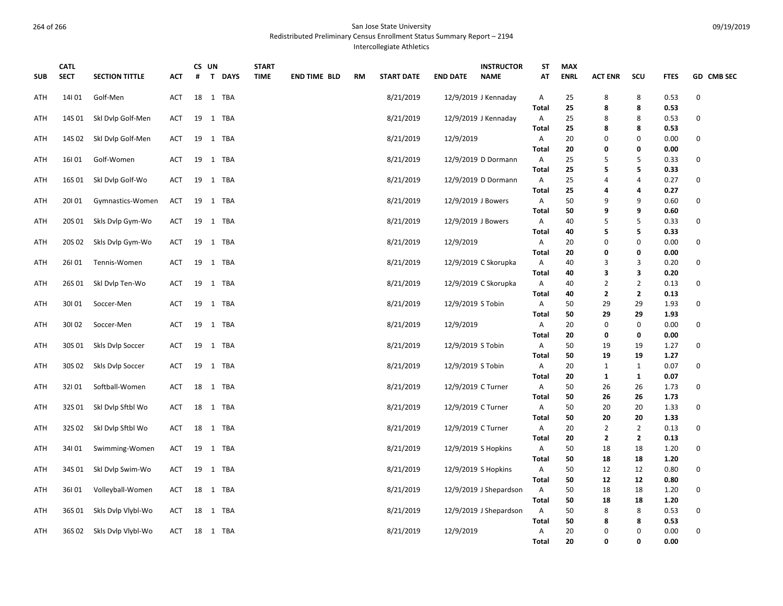Redistributed Preliminary Census Enrollment Status Summary Report – 2194

Intercollegiate Athletics

|            | <b>CATL</b> |                       |     |    | CS UN                       | <b>START</b> |                     |    |                   | <b>INSTRUCTOR</b>              | <b>ST</b>         | <b>MAX</b>  |                   |                |              |             |
|------------|-------------|-----------------------|-----|----|-----------------------------|--------------|---------------------|----|-------------------|--------------------------------|-------------------|-------------|-------------------|----------------|--------------|-------------|
| <b>SUB</b> | <b>SECT</b> | <b>SECTION TITTLE</b> | АСТ | #  | $\mathbf{T}$<br><b>DAYS</b> | <b>TIME</b>  | <b>END TIME BLD</b> | RM | <b>START DATE</b> | <b>END DATE</b><br><b>NAME</b> | АΤ                | <b>ENRL</b> | <b>ACT ENR</b>    | SCU            | <b>FTES</b>  | GD CMB SEC  |
| ATH        | 14101       | Golf-Men              | ACT |    | 18 1 TBA                    |              |                     |    | 8/21/2019         | 12/9/2019 J Kennaday           | Α                 | 25          | 8                 | 8              | 0.53         | $\mathbf 0$ |
|            |             |                       |     |    |                             |              |                     |    |                   |                                | <b>Total</b>      | 25          | 8                 | 8              | 0.53         |             |
| ATH        | 14S 01      | Skl Dvlp Golf-Men     | ACT |    | 19 1 TBA                    |              |                     |    | 8/21/2019         | $12/9/2019$ J Kennaday         | Α                 | 25          | 8                 | 8              | 0.53         | 0           |
|            |             |                       |     |    |                             |              |                     |    |                   |                                | <b>Total</b>      | 25          | 8                 | 8              | 0.53         |             |
| ATH        | 14S 02      | Skl Dvlp Golf-Men     | ACT |    | 19 1 TBA                    |              |                     |    | 8/21/2019         | 12/9/2019                      | Α                 | 20          | 0                 | 0              | 0.00         | 0           |
|            |             |                       |     |    |                             |              |                     |    |                   |                                | <b>Total</b>      | 20          | 0                 | 0              | 0.00         |             |
| ATH        | 16101       | Golf-Women            | ACT |    | 19 1 TBA                    |              |                     |    | 8/21/2019         | 12/9/2019 D Dormann            | Α                 | 25          | 5                 | 5              | 0.33         | 0           |
|            |             |                       |     |    |                             |              |                     |    |                   |                                | <b>Total</b>      | 25          | 5                 | 5              | 0.33         |             |
| ATH        | 16S 01      | Skl Dvlp Golf-Wo      | ACT |    | 19 1 TBA                    |              |                     |    | 8/21/2019         | 12/9/2019 D Dormann            | A                 | 25          | 4                 | $\overline{4}$ | 0.27         | 0           |
|            |             |                       |     |    |                             |              |                     |    |                   |                                | <b>Total</b>      | 25          | 4                 | 4              | 0.27         |             |
| ATH        | 20101       | Gymnastics-Women      | ACT |    | 19 1 TBA                    |              |                     |    | 8/21/2019         | 12/9/2019 J Bowers             | A                 | 50          | 9                 | 9              | 0.60         | $\mathbf 0$ |
|            |             |                       |     |    |                             |              |                     |    |                   |                                | <b>Total</b>      | 50          | 9                 | 9              | 0.60         |             |
| ATH        | 20S 01      | Skls Dvlp Gym-Wo      | ACT |    | 19 1 TBA                    |              |                     |    | 8/21/2019         | 12/9/2019 J Bowers             | Α                 | 40          | 5                 | 5              | 0.33         | 0           |
|            |             |                       |     |    |                             |              |                     |    |                   |                                | <b>Total</b>      | 40          | 5                 | 5              | 0.33         |             |
| ATH        | 20S 02      | Skls Dvlp Gym-Wo      | ACT |    | 19 1 TBA                    |              |                     |    | 8/21/2019         | 12/9/2019                      | Α                 | 20          | 0                 | 0<br>0         | 0.00         | 0           |
|            |             |                       |     |    |                             |              |                     |    |                   |                                | <b>Total</b>      | 20          | 0                 |                | 0.00         | $\mathbf 0$ |
| ATH        | 26101       | Tennis-Women          | ACT |    | 19 1 TBA                    |              |                     |    | 8/21/2019         | 12/9/2019 C Skorupka           | Α<br><b>Total</b> | 40          | 3<br>3            | 3<br>3         | 0.20<br>0.20 |             |
|            | 26S 01      |                       |     |    | 19 1 TBA                    |              |                     |    |                   |                                |                   | 40<br>40    |                   | $\overline{2}$ | 0.13         | 0           |
| ATH        |             | Skl Dvlp Ten-Wo       | ACT |    |                             |              |                     |    | 8/21/2019         | 12/9/2019 C Skorupka           | Α<br><b>Total</b> | 40          | 2<br>$\mathbf{2}$ | $\overline{2}$ | 0.13         |             |
| ATH        | 30101       | Soccer-Men            | ACT |    | 19 1 TBA                    |              |                     |    | 8/21/2019         | 12/9/2019 S Tobin              | Α                 | 50          | 29                | 29             | 1.93         | 0           |
|            |             |                       |     |    |                             |              |                     |    |                   |                                | <b>Total</b>      | 50          | 29                | 29             | 1.93         |             |
| ATH        | 30102       | Soccer-Men            | ACT | 19 | 1 TBA                       |              |                     |    | 8/21/2019         | 12/9/2019                      | Α                 | 20          | 0                 | 0              | 0.00         | $\pmb{0}$   |
|            |             |                       |     |    |                             |              |                     |    |                   |                                | <b>Total</b>      | 20          | 0                 | 0              | 0.00         |             |
| ATH        | 30S 01      | Skls Dvlp Soccer      | ACT |    | 19 1 TBA                    |              |                     |    | 8/21/2019         | 12/9/2019 S Tobin              | Α                 | 50          | 19                | 19             | 1.27         | 0           |
|            |             |                       |     |    |                             |              |                     |    |                   |                                | <b>Total</b>      | 50          | 19                | 19             | 1.27         |             |
| ATH        | 30S 02      | Skls Dvlp Soccer      | ACT |    | 19 1 TBA                    |              |                     |    | 8/21/2019         | 12/9/2019 S Tobin              | Α                 | 20          | $\mathbf{1}$      | $\mathbf{1}$   | 0.07         | 0           |
|            |             |                       |     |    |                             |              |                     |    |                   |                                | <b>Total</b>      | 20          | $\mathbf{1}$      | $\mathbf{1}$   | 0.07         |             |
| ATH        | 32101       | Softball-Women        | ACT |    | 18 1 TBA                    |              |                     |    | 8/21/2019         | 12/9/2019 C Turner             | Α                 | 50          | 26                | 26             | 1.73         | 0           |
|            |             |                       |     |    |                             |              |                     |    |                   |                                | <b>Total</b>      | 50          | 26                | 26             | 1.73         |             |
| ATH        | 32S01       | Ski Dvip Sftbi Wo     | ACT |    | 18 1 TBA                    |              |                     |    | 8/21/2019         | 12/9/2019 C Turner             | Α                 | 50          | 20                | 20             | 1.33         | 0           |
|            |             |                       |     |    |                             |              |                     |    |                   |                                | <b>Total</b>      | 50          | 20                | 20             | 1.33         |             |
| ATH        | 32S 02      | Ski Dvip Sftbi Wo     | ACT |    | 18 1 TBA                    |              |                     |    | 8/21/2019         | 12/9/2019 C Turner             | Α                 | 20          | $\overline{2}$    | $\overline{2}$ | 0.13         | 0           |
|            |             |                       |     |    |                             |              |                     |    |                   |                                | <b>Total</b>      | 20          | 2                 | $\mathbf{2}$   | 0.13         |             |
| ATH        | 34101       | Swimming-Women        | ACT |    | 19 1 TBA                    |              |                     |    | 8/21/2019         | 12/9/2019 S Hopkins            | A                 | 50          | 18                | 18             | 1.20         | 0           |
|            |             |                       |     |    |                             |              |                     |    |                   |                                | <b>Total</b>      | 50          | 18                | 18             | 1.20         |             |
| ATH        | 34S 01      | Skl Dvlp Swim-Wo      | ACT |    | 19 1 TBA                    |              |                     |    | 8/21/2019         | 12/9/2019 S Hopkins            | Α                 | 50          | 12                | 12             | 0.80         | 0           |
|            |             |                       |     |    |                             |              |                     |    |                   |                                | <b>Total</b>      | 50          | 12                | 12             | 0.80         |             |
| ATH        | 36101       | Volleyball-Women      | ACT |    | 18 1 TBA                    |              |                     |    | 8/21/2019         | 12/9/2019 J Shepardson         | Α                 | 50          | 18                | 18             | 1.20         | 0           |
|            |             |                       |     |    |                             |              |                     |    |                   |                                | <b>Total</b>      | 50          | 18                | 18             | 1.20         |             |
| ATH        | 36S 01      | Skls Dvlp Vlybl-Wo    | ACT |    | 18 1 TBA                    |              |                     |    | 8/21/2019         | 12/9/2019 J Shepardson         | A                 | 50          | 8                 | 8              | 0.53         | 0           |
|            |             |                       |     |    |                             |              |                     |    |                   |                                | <b>Total</b>      | 50          | 8                 | 8              | 0.53         |             |
| ATH        | 36S 02      | Skls Dvlp Vlybl-Wo    | ACT |    | 18 1 TBA                    |              |                     |    | 8/21/2019         | 12/9/2019                      | A                 | 20          | 0                 | 0              | 0.00         | $\pmb{0}$   |
|            |             |                       |     |    |                             |              |                     |    |                   |                                | <b>Total</b>      | 20          | 0                 | 0              | 0.00         |             |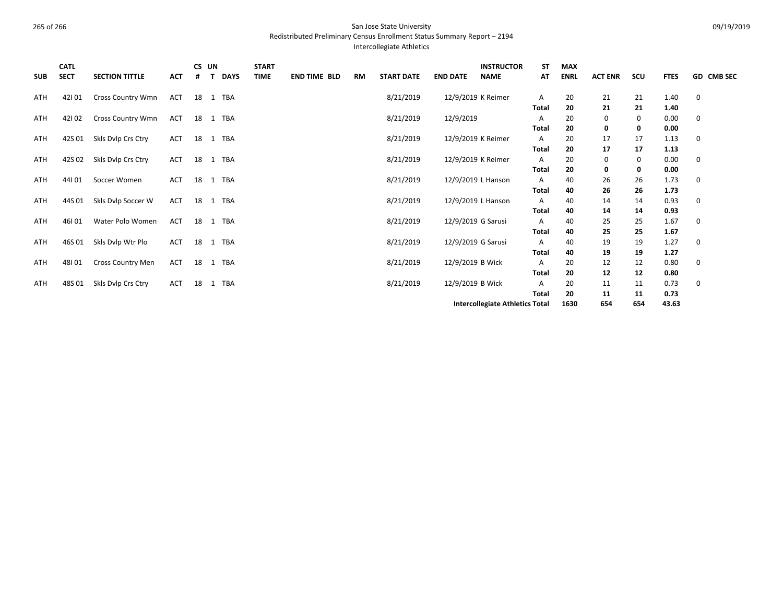Redistributed Preliminary Census Enrollment Status Summary Report – 2194

Intercollegiate Athletics

| <b>SUB</b> | <b>CATL</b><br><b>SECT</b> | <b>SECTION TITTLE</b>    | <b>ACT</b> | #  | CS UN<br>$\mathbf{T}$ | <b>DAYS</b> | <b>START</b><br><b>TIME</b> | <b>END TIME BLD</b> | RM | <b>START DATE</b> | <b>END DATE</b>  | <b>INSTRUCTOR</b><br><b>NAME</b>       | ST<br>AT     | <b>MAX</b><br><b>ENRL</b> | <b>ACT ENR</b> | scu      | <b>FTES</b>  | GD CMB SEC  |
|------------|----------------------------|--------------------------|------------|----|-----------------------|-------------|-----------------------------|---------------------|----|-------------------|------------------|----------------------------------------|--------------|---------------------------|----------------|----------|--------------|-------------|
| ATH        | 42101                      | <b>Cross Country Wmn</b> | ACT        |    |                       | 18 1 TBA    |                             |                     |    | 8/21/2019         |                  | 12/9/2019 K Reimer                     | A            | 20                        | 21             | 21       | 1.40         | $\mathbf 0$ |
|            |                            |                          |            |    |                       |             |                             |                     |    |                   |                  |                                        | <b>Total</b> | 20                        | 21             | 21       | 1.40         |             |
| ATH        | 42102                      | <b>Cross Country Wmn</b> | ACT        |    |                       | 18 1 TBA    |                             |                     |    | 8/21/2019         | 12/9/2019        |                                        | Α            | 20                        | 0              | 0        | 0.00         | 0           |
|            |                            |                          |            |    |                       |             |                             |                     |    |                   |                  |                                        | Total        | 20                        | 0              | 0        | 0.00         |             |
| ATH        | 42S01                      | Skls Dvlp Crs Ctry       | ACT        | 18 |                       | 1 TBA       |                             |                     |    | 8/21/2019         |                  | 12/9/2019 K Reimer                     | Α<br>Total   | 20<br>20                  | 17<br>17       | 17<br>17 | 1.13<br>1.13 | 0           |
| ATH        | 42S 02                     | Skls Dylp Crs Ctry       | ACT        | 18 |                       | 1 TBA       |                             |                     |    | 8/21/2019         |                  | 12/9/2019 K Reimer                     | Α            | 20                        | 0              | 0        | 0.00         | 0           |
|            |                            |                          |            |    |                       |             |                             |                     |    |                   |                  |                                        | Total        | 20                        | 0              | 0        | 0.00         |             |
| ATH        | 44101                      | Soccer Women             | ACT        | 18 |                       | 1 TBA       |                             |                     |    | 8/21/2019         |                  | 12/9/2019 L Hanson                     | Α            | 40                        | 26             | 26       | 1.73         | 0           |
|            |                            |                          |            |    |                       |             |                             |                     |    |                   |                  |                                        | Total        | 40                        | 26             | 26       | 1.73         |             |
| ATH        | 44S 01                     | Skls Dvlp Soccer W       | ACT        | 18 |                       | 1 TBA       |                             |                     |    | 8/21/2019         |                  | 12/9/2019 L Hanson                     | Α            | 40                        | 14             | 14       | 0.93         | 0           |
|            |                            |                          |            |    |                       |             |                             |                     |    |                   |                  |                                        | Total        | 40                        | 14             | 14       | 0.93         |             |
| ATH        | 46101                      | Water Polo Women         | ACT        | 18 |                       | 1 TBA       |                             |                     |    | 8/21/2019         |                  | 12/9/2019 G Sarusi                     | Α            | 40                        | 25             | 25       | 1.67         | 0           |
|            |                            |                          |            |    |                       |             |                             |                     |    |                   |                  |                                        | <b>Total</b> | 40                        | 25             | 25       | 1.67         |             |
| ATH        | 46S 01                     | Skls Dvlp Wtr Plo        | ACT        | 18 |                       | 1 TBA       |                             |                     |    | 8/21/2019         |                  | 12/9/2019 G Sarusi                     | Α            | 40                        | 19             | 19       | 1.27         | $\mathbf 0$ |
|            |                            |                          |            |    |                       |             |                             |                     |    |                   |                  |                                        | Total        | 40                        | 19             | 19       | 1.27         |             |
| ATH        | 48101                      | <b>Cross Country Men</b> | ACT        | 18 |                       | 1 TBA       |                             |                     |    | 8/21/2019         | 12/9/2019 B Wick |                                        | Α            | 20                        | 12             | 12       | 0.80         | 0           |
|            |                            |                          |            |    |                       |             |                             |                     |    |                   |                  |                                        | Total        | 20                        | 12             | 12       | 0.80         |             |
| <b>ATH</b> | 48S 01                     | Skls Dvlp Crs Ctry       | ACT        | 18 |                       | 1 TBA       |                             |                     |    | 8/21/2019         | 12/9/2019 B Wick |                                        | Α            | 20                        | 11             | 11       | 0.73         | 0           |
|            |                            |                          |            |    |                       |             |                             |                     |    |                   |                  |                                        | <b>Total</b> | 20                        | 11             | 11       | 0.73         |             |
|            |                            |                          |            |    |                       |             |                             |                     |    |                   |                  | <b>Intercollegiate Athletics Total</b> | 1630         | 654                       | 654            | 43.63    |              |             |